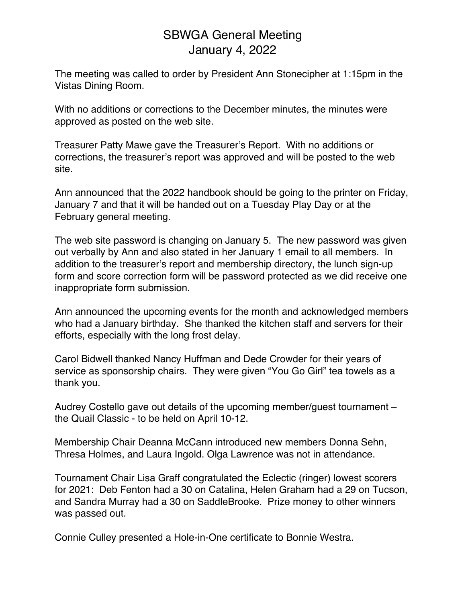## SBWGA General Meeting January 4, 2022

The meeting was called to order by President Ann Stonecipher at 1:15pm in the Vistas Dining Room.

With no additions or corrections to the December minutes, the minutes were approved as posted on the web site.

Treasurer Patty Mawe gave the Treasurer's Report. With no additions or corrections, the treasurer's report was approved and will be posted to the web site.

Ann announced that the 2022 handbook should be going to the printer on Friday, January 7 and that it will be handed out on a Tuesday Play Day or at the February general meeting.

The web site password is changing on January 5. The new password was given out verbally by Ann and also stated in her January 1 email to all members. In addition to the treasurer's report and membership directory, the lunch sign-up form and score correction form will be password protected as we did receive one inappropriate form submission.

Ann announced the upcoming events for the month and acknowledged members who had a January birthday. She thanked the kitchen staff and servers for their efforts, especially with the long frost delay.

Carol Bidwell thanked Nancy Huffman and Dede Crowder for their years of service as sponsorship chairs. They were given "You Go Girl" tea towels as a thank you.

Audrey Costello gave out details of the upcoming member/guest tournament – the Quail Classic - to be held on April 10-12.

Membership Chair Deanna McCann introduced new members Donna Sehn, Thresa Holmes, and Laura Ingold. Olga Lawrence was not in attendance.

Tournament Chair Lisa Graff congratulated the Eclectic (ringer) lowest scorers for 2021: Deb Fenton had a 30 on Catalina, Helen Graham had a 29 on Tucson, and Sandra Murray had a 30 on SaddleBrooke. Prize money to other winners was passed out.

Connie Culley presented a Hole-in-One certificate to Bonnie Westra.